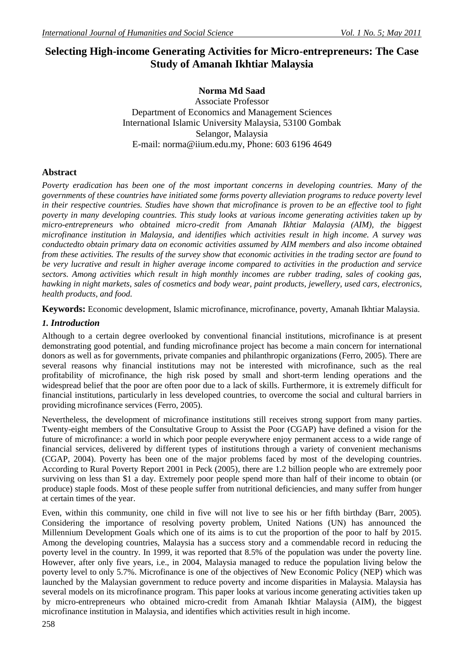# **Selecting High-income Generating Activities for Micro-entrepreneurs: The Case Study of Amanah Ikhtiar Malaysia**

# **Norma Md Saad**

Associate Professor Department of Economics and Management Sciences International Islamic University Malaysia, 53100 Gombak Selangor, Malaysia E-mail: [norma@iium.edu.my,](mailto:norma@iium.edu.my) Phone: 603 6196 4649

# **Abstract**

*Poverty eradication has been one of the most important concerns in developing countries. Many of the governments of these countries have initiated some forms poverty alleviation programs to reduce poverty level in their respective countries. Studies have shown that microfinance is proven to be an effective tool to fight poverty in many developing countries. This study looks at various income generating activities taken up by micro-entrepreneurs who obtained micro-credit from Amanah Ikhtiar Malaysia (AIM), the biggest microfinance institution in Malaysia, and identifies which activities result in high income. A survey was conductedto obtain primary data on economic activities assumed by AIM members and also income obtained from these activities. The results of the survey show that economic activities in the trading sector are found to be very lucrative and result in higher average income compared to activities in the production and service sectors. Among activities which result in high monthly incomes are rubber trading, sales of cooking gas, hawking in night markets, sales of cosmetics and body wear, paint products, jewellery, used cars, electronics, health products, and food.*

**Keywords:** Economic development, Islamic microfinance, microfinance, poverty, Amanah Ikhtiar Malaysia.

# *1. Introduction*

Although to a certain degree overlooked by conventional financial institutions, microfinance is at present demonstrating good potential, and funding microfinance project has become a main concern for international donors as well as for governments, private companies and philanthropic organizations (Ferro, 2005). There are several reasons why financial institutions may not be interested with microfinance, such as the real profitability of microfinance, the high risk posed by small and short-term lending operations and the widespread belief that the poor are often poor due to a lack of skills. Furthermore, it is extremely difficult for financial institutions, particularly in less developed countries, to overcome the social and cultural barriers in providing microfinance services (Ferro, 2005).

Nevertheless, the development of microfinance institutions still receives strong support from many parties. Twenty-eight members of the Consultative Group to Assist the Poor (CGAP) have defined a vision for the future of microfinance: a world in which poor people everywhere enjoy permanent access to a wide range of financial services, delivered by different types of institutions through a variety of convenient mechanisms (CGAP, 2004). Poverty has been one of the major problems faced by most of the developing countries. According to Rural Poverty Report 2001 in Peck (2005), there are 1.2 billion people who are extremely poor surviving on less than \$1 a day. Extremely poor people spend more than half of their income to obtain (or produce) staple foods. Most of these people suffer from nutritional deficiencies, and many suffer from hunger at certain times of the year.

Even, within this community, one child in five will not live to see his or her fifth birthday (Barr, 2005). Considering the importance of resolving poverty problem, United Nations (UN) has announced the Millennium Development Goals which one of its aims is to cut the proportion of the poor to half by 2015. Among the developing countries, Malaysia has a success story and a commendable record in reducing the poverty level in the country. In 1999, it was reported that 8.5% of the population was under the poverty line. However, after only five years, i.e., in 2004, Malaysia managed to reduce the population living below the poverty level to only 5.7%. Microfinance is one of the objectives of New Economic Policy (NEP) which was launched by the Malaysian government to reduce poverty and income disparities in Malaysia. Malaysia has several models on its microfinance program. This paper looks at various income generating activities taken up by micro-entrepreneurs who obtained micro-credit from Amanah Ikhtiar Malaysia (AIM), the biggest microfinance institution in Malaysia, and identifies which activities result in high income.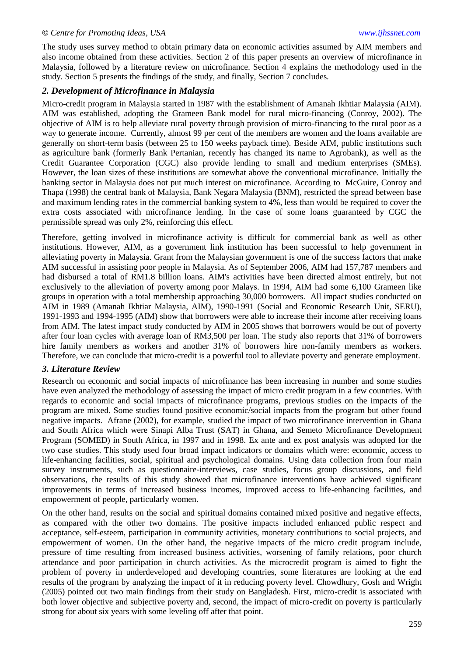The study uses survey method to obtain primary data on economic activities assumed by AIM members and also income obtained from these activities. Section 2 of this paper presents an overview of microfinance in Malaysia, followed by a literature review on microfinance. Section 4 explains the methodology used in the study. Section 5 presents the findings of the study, and finally, Section 7 concludes.

#### *2. Development of Microfinance in Malaysia*

Micro-credit program in Malaysia started in 1987 with the establishment of Amanah Ikhtiar Malaysia (AIM). AIM was established, adopting the Grameen Bank model for rural micro-financing (Conroy, 2002). The objective of AIM is to help alleviate rural poverty through provision of micro-financing to the rural poor as a way to generate income. Currently, almost 99 per cent of the members are women and the loans available are generally on short-term basis (between 25 to 150 weeks payback time). Beside AIM, public institutions such as agriculture bank (formerly Bank Pertanian, recently has changed its name to Agrobank), as well as the Credit Guarantee Corporation (CGC) also provide lending to small and medium enterprises (SMEs). However, the loan sizes of these institutions are somewhat above the conventional microfinance. Initially the banking sector in Malaysia does not put much interest on microfinance. According to McGuire, Conroy and Thapa (1998) the central bank of Malaysia, Bank Negara Malaysia (BNM), restricted the spread between base and maximum lending rates in the commercial banking system to 4%, less than would be required to cover the extra costs associated with microfinance lending. In the case of some loans guaranteed by CGC the permissible spread was only 2%, reinforcing this effect.

Therefore, getting involved in microfinance activity is difficult for commercial bank as well as other institutions. However, AIM, as a government link institution has been successful to help government in alleviating poverty in Malaysia. Grant from the Malaysian government is one of the success factors that make AIM successful in assisting poor people in Malaysia. As of September 2006, AIM had 157,787 members and had disbursed a total of RM1.8 billion loans. AIM's activities have been directed almost entirely, but not exclusively to the alleviation of poverty among poor Malays. In 1994, AIM had some 6,100 Grameen like groups in operation with a total membership approaching 30,000 borrowers. All impact studies conducted on AIM in 1989 (Amanah Ikhtiar Malaysia, AIM), 1990-1991 (Social and Economic Research Unit, SERU), 1991-1993 and 1994-1995 (AIM) show that borrowers were able to increase their income after receiving loans from AIM. The latest impact study conducted by AIM in 2005 shows that borrowers would be out of poverty after four loan cycles with average loan of RM3,500 per loan. The study also reports that 31% of borrowers hire family members as workers and another 31% of borrowers hire non-family members as workers. Therefore, we can conclude that micro-credit is a powerful tool to alleviate poverty and generate employment.

#### *3. Literature Review*

Research on economic and social impacts of microfinance has been increasing in number and some studies have even analyzed the methodology of assessing the impact of micro credit program in a few countries. With regards to economic and social impacts of microfinance programs, previous studies on the impacts of the program are mixed. Some studies found positive economic/social impacts from the program but other found negative impacts. Afrane (2002), for example, studied the impact of two microfinance intervention in Ghana and South Africa which were Sinapi Alba Trust (SAT) in Ghana, and Semeto Microfinance Development Program (SOMED) in South Africa, in 1997 and in 1998. Ex ante and ex post analysis was adopted for the two case studies. This study used four broad impact indicators or domains which were: economic, access to life-enhancing facilities, social, spiritual and psychological domains. Using data collection from four main survey instruments, such as questionnaire-interviews, case studies, focus group discussions, and field observations, the results of this study showed that microfinance interventions have achieved significant improvements in terms of increased business incomes, improved access to life-enhancing facilities, and empowerment of people, particularly women.

On the other hand, results on the social and spiritual domains contained mixed positive and negative effects, as compared with the other two domains. The positive impacts included enhanced public respect and acceptance, self-esteem, participation in community activities, monetary contributions to social projects, and empowerment of women. On the other hand, the negative impacts of the micro credit program include, pressure of time resulting from increased business activities, worsening of family relations, poor church attendance and poor participation in church activities. As the microcredit program is aimed to fight the problem of poverty in underdeveloped and developing countries, some literatures are looking at the end results of the program by analyzing the impact of it in reducing poverty level. Chowdhury, Gosh and Wright (2005) pointed out two main findings from their study on Bangladesh. First, micro-credit is associated with both lower objective and subjective poverty and, second, the impact of micro-credit on poverty is particularly strong for about six years with some leveling off after that point.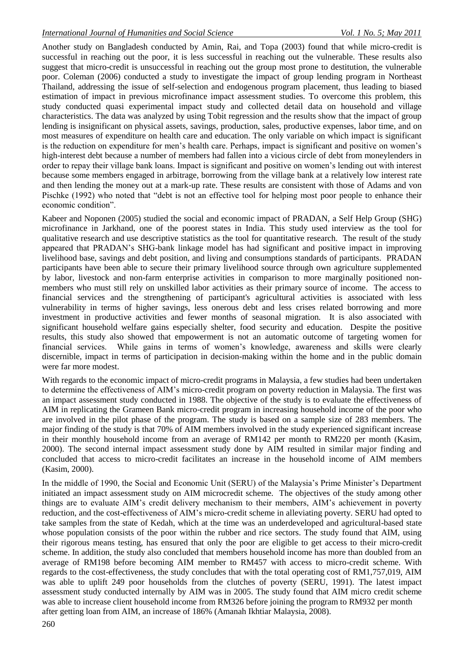Another study on Bangladesh conducted by Amin, Rai, and Topa (2003) found that while micro-credit is successful in reaching out the poor, it is less successful in reaching out the vulnerable. These results also suggest that micro-credit is unsuccessful in reaching out the group most prone to destitution, the vulnerable poor. Coleman (2006) conducted a study to investigate the impact of group lending program in Northeast Thailand, addressing the issue of self-selection and endogenous program placement, thus leading to biased estimation of impact in previous microfinance impact assessment studies. To overcome this problem, this study conducted quasi experimental impact study and collected detail data on household and village characteristics. The data was analyzed by using Tobit regression and the results show that the impact of group lending is insignificant on physical assets, savings, production, sales, productive expenses, labor time, and on most measures of expenditure on health care and education. The only variable on which impact is significant is the reduction on expenditure for men's health care. Perhaps, impact is significant and positive on women's high-interest debt because a number of members had fallen into a vicious circle of debt from moneylenders in order to repay their village bank loans. Impact is significant and positive on women's lending out with interest because some members engaged in arbitrage, borrowing from the village bank at a relatively low interest rate and then lending the money out at a mark-up rate. These results are consistent with those of Adams and von Pischke (1992) who noted that "debt is not an effective tool for helping most poor people to enhance their economic condition".

Kabeer and Noponen (2005) studied the social and economic impact of PRADAN, a Self Help Group (SHG) microfinance in Jarkhand, one of the poorest states in India. This study used interview as the tool for qualitative research and use descriptive statistics as the tool for quantitative research. The result of the study appeared that PRADAN's SHG-bank linkage model has had significant and positive impact in improving livelihood base, savings and debt position, and living and consumptions standards of participants. PRADAN participants have been able to secure their primary livelihood source through own agriculture supplemented by labor, livestock and non-farm enterprise activities in comparison to more marginally positioned nonmembers who must still rely on unskilled labor activities as their primary source of income. The access to financial services and the strengthening of participant's agricultural activities is associated with less vulnerability in terms of higher savings, less onerous debt and less crises related borrowing and more investment in productive activities and fewer months of seasonal migration. It is also associated with significant household welfare gains especially shelter, food security and education. Despite the positive results, this study also showed that empowerment is not an automatic outcome of targeting women for financial services. While gains in terms of women's knowledge, awareness and skills were clearly discernible, impact in terms of participation in decision-making within the home and in the public domain were far more modest.

With regards to the economic impact of micro-credit programs in Malaysia, a few studies had been undertaken to determine the effectiveness of AIM's micro-credit program on poverty reduction in Malaysia. The first was an impact assessment study conducted in 1988. The objective of the study is to evaluate the effectiveness of AIM in replicating the Grameen Bank micro-credit program in increasing household income of the poor who are involved in the pilot phase of the program. The study is based on a sample size of 283 members. The major finding of the study is that 70% of AIM members involved in the study experienced significant increase in their monthly household income from an average of RM142 per month to RM220 per month (Kasim, 2000). The second internal impact assessment study done by AIM resulted in similar major finding and concluded that access to micro-credit facilitates an increase in the household income of AIM members (Kasim, 2000).

In the middle of 1990, the Social and Economic Unit (SERU) of the Malaysia's Prime Minister's Department initiated an impact assessment study on AIM microcredit scheme. The objectives of the study among other things are to evaluate AIM's credit delivery mechanism to their members, AIM's achievement in poverty reduction, and the cost-effectiveness of AIM's micro-credit scheme in alleviating poverty. SERU had opted to take samples from the state of Kedah, which at the time was an underdeveloped and agricultural-based state whose population consists of the poor within the rubber and rice sectors. The study found that AIM, using their rigorous means testing, has ensured that only the poor are eligible to get access to their micro-credit scheme. In addition, the study also concluded that members household income has more than doubled from an average of RM198 before becoming AIM member to RM457 with access to micro-credit scheme. With regards to the cost-effectiveness, the study concludes that with the total operating cost of RM1,757,019, AIM was able to uplift 249 poor households from the clutches of poverty (SERU, 1991). The latest impact assessment study conducted internally by AIM was in 2005. The study found that AIM micro credit scheme was able to increase client household income from RM326 before joining the program to RM932 per month after getting loan from AIM, an increase of 186% (Amanah Ikhtiar Malaysia, 2008).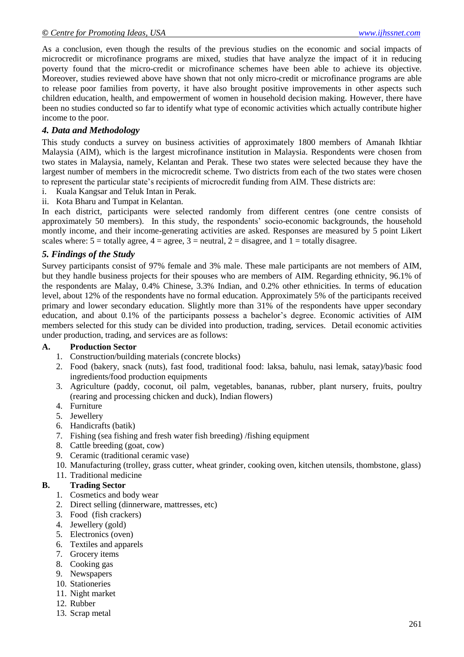As a conclusion, even though the results of the previous studies on the economic and social impacts of microcredit or microfinance programs are mixed, studies that have analyze the impact of it in reducing poverty found that the micro-credit or microfinance schemes have been able to achieve its objective. Moreover, studies reviewed above have shown that not only micro-credit or microfinance programs are able to release poor families from poverty, it have also brought positive improvements in other aspects such children education, health, and empowerment of women in household decision making. However, there have been no studies conducted so far to identify what type of economic activities which actually contribute higher income to the poor.

# *4. Data and Methodology*

This study conducts a survey on business activities of approximately 1800 members of Amanah Ikhtiar Malaysia (AIM), which is the largest microfinance institution in Malaysia. Respondents were chosen from two states in Malaysia, namely, Kelantan and Perak. These two states were selected because they have the largest number of members in the microcredit scheme. Two districts from each of the two states were chosen to represent the particular state's recipients of microcredit funding from AIM. These districts are:

- i. Kuala Kangsar and Teluk Intan in Perak.
- ii. Kota Bharu and Tumpat in Kelantan.

In each district, participants were selected randomly from different centres (one centre consists of approximately 50 members). In this study, the respondents' socio-economic backgrounds, the household montly income, and their income-generating activities are asked. Responses are measured by 5 point Likert scales where:  $5 =$  totally agree,  $4 =$  agree,  $3 =$  neutral,  $2 =$  disagree, and  $1 =$  totally disagree.

## *5. Findings of the Study*

Survey participants consist of 97% female and 3% male. These male participants are not members of AIM, but they handle business projects for their spouses who are members of AIM. Regarding ethnicity, 96.1% of the respondents are Malay, 0.4% Chinese, 3.3% Indian, and 0.2% other ethnicities. In terms of education level, about 12% of the respondents have no formal education. Approximately 5% of the participants received primary and lower secondary education. Slightly more than 31% of the respondents have upper secondary education, and about 0.1% of the participants possess a bachelor's degree. Economic activities of AIM members selected for this study can be divided into production, trading, services. Detail economic activities under production, trading, and services are as follows:

#### **A. Production Sector**

- 1. Construction/building materials (concrete blocks)
- 2. Food (bakery, snack (nuts), fast food, traditional food: laksa, bahulu, nasi lemak, satay)/basic food ingredients/food production equipments
- 3. Agriculture (paddy, coconut, oil palm, vegetables, bananas, rubber, plant nursery, fruits, poultry (rearing and processing chicken and duck), Indian flowers)
- 4. Furniture
- 5. Jewellery
- 6. Handicrafts (batik)
- 7. Fishing (sea fishing and fresh water fish breeding) /fishing equipment
- 8. Cattle breeding (goat, cow)
- 9. Ceramic (traditional ceramic vase)
- 10. Manufacturing (trolley, grass cutter, wheat grinder, cooking oven, kitchen utensils, thombstone, glass)
- 11. Traditional medicine

## **B. Trading Sector**

- 1. Cosmetics and body wear
- 2. Direct selling (dinnerware, mattresses, etc)
- 3. Food (fish crackers)
- 4. Jewellery (gold)
- 5. Electronics (oven)
- 6. Textiles and apparels
- 7. Grocery items
- 8. Cooking gas
- 9. Newspapers
- 10. Stationeries
- 11. Night market
- 12. Rubber
- 13. Scrap metal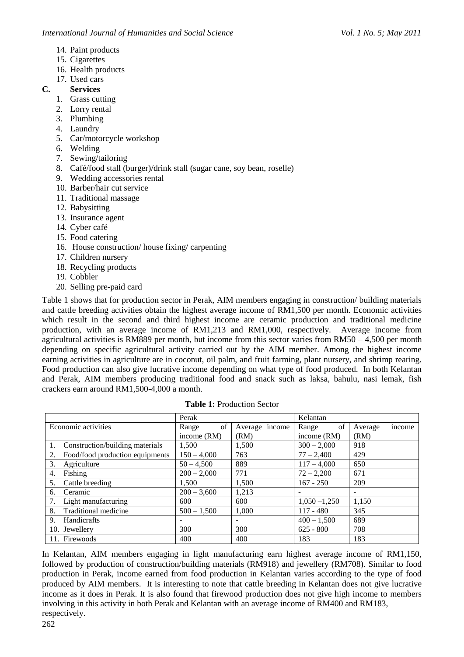- 14. Paint products
- 15. Cigarettes
- 16. Health products
- 17. Used cars
- **C. Services**
	- 1. Grass cutting
	- 2. Lorry rental
	- 3. Plumbing
	- 4. Laundry
	- 5. Car/motorcycle workshop
	- 6. Welding
	- 7. Sewing/tailoring
	- 8. Café/food stall (burger)/drink stall (sugar cane, soy bean, roselle)
	- 9. Wedding accessories rental
	- 10. Barber/hair cut service
	- 11. Traditional massage
	- 12. Babysitting
	- 13. Insurance agent
	- 14. Cyber café
	- 15. Food catering
	- 16. House construction/ house fixing/ carpenting
	- 17. Children nursery
	- 18. Recycling products
	- 19. Cobbler
	- 20. Selling pre-paid card

Table 1 shows that for production sector in Perak, AIM members engaging in construction/ building materials and cattle breeding activities obtain the highest average income of RM1,500 per month. Economic activities which result in the second and third highest income are ceramic production and traditional medicine production, with an average income of RM1,213 and RM1,000, respectively. Average income from agricultural activities is RM889 per month, but income from this sector varies from  $RM50 - 4,500$  per month depending on specific agricultural activity carried out by the AIM member. Among the highest income earning activities in agriculture are in coconut, oil palm, and fruit farming, plant nursery, and shrimp rearing. Food production can also give lucrative income depending on what type of food produced. In both Kelantan and Perak, AIM members producing traditional food and snack such as laksa, bahulu, nasi lemak, fish crackers earn around RM1,500-4,000 a month.

|                                       | Perak           |                          | Kelantan        |                          |
|---------------------------------------|-----------------|--------------------------|-----------------|--------------------------|
| Economic activities                   | of<br>Range     | Average income           | of<br>Range     | income<br>Average        |
|                                       | income (RM)     | (RM)                     | income (RM)     | (RM)                     |
| Construction/building materials       | 1,500           | 1,500                    | $300 - 2{,}000$ | 918                      |
| Food/food production equipments<br>2. | $150 - 4,000$   | 763                      | $77 - 2,400$    | 429                      |
| 3.<br>Agriculture                     | $50 - 4,500$    | 889                      | $117 - 4,000$   | 650                      |
| Fishing<br>4.                         | $200 - 2{,}000$ | 771                      | $72 - 2,200$    | 671                      |
| 5.<br>Cattle breeding                 | 1.500           | 1,500                    | $167 - 250$     | 209                      |
| Ceramic<br>6.                         | $200 - 3,600$   | 1,213                    |                 | $\overline{\phantom{0}}$ |
| Light manufacturing                   | 600             | 600                      | $1,050 - 1,250$ | 1,150                    |
| 8.<br>Traditional medicine            | $500 - 1,500$   | 1,000                    | $117 - 480$     | 345                      |
| 9.<br>Handicrafts                     |                 | $\overline{\phantom{a}}$ | $400 - 1.500$   | 689                      |
| 10. Jewellery                         | 300             | 300                      | $625 - 800$     | 708                      |
| 11. Firewoods                         | 400             | 400                      | 183             | 183                      |

**Table 1:** Production Sector

In Kelantan, AIM members engaging in light manufacturing earn highest average income of RM1,150, followed by production of construction/building materials (RM918) and jewellery (RM708). Similar to food production in Perak, income earned from food production in Kelantan varies according to the type of food produced by AIM members. It is interesting to note that cattle breeding in Kelantan does not give lucrative income as it does in Perak. It is also found that firewood production does not give high income to members involving in this activity in both Perak and Kelantan with an average income of RM400 and RM183, respectively.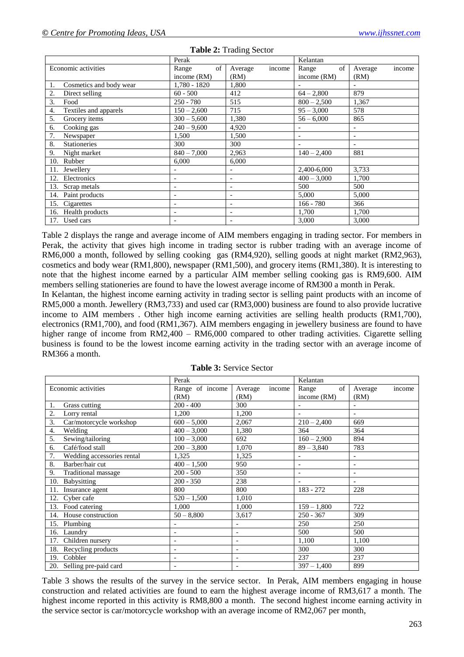|                             | Perak                        |                              | Kelantan      |                          |
|-----------------------------|------------------------------|------------------------------|---------------|--------------------------|
| Economic activities         | of<br>Range                  | income<br>Average            | of<br>Range   | Average<br>income        |
|                             | income $(RM)$                | (RM)                         | income (RM)   | (RM)                     |
| Cosmetics and body wear     | 1,780 - 1820                 | 1,800                        |               |                          |
| 2.<br>Direct selling        | $60 - 500$                   | 412                          | $64 - 2,800$  | 879                      |
| 3.<br>Food                  | $250 - 780$                  | 515                          | $800 - 2,500$ | 1,367                    |
| Textiles and apparels<br>4. | $150 - 2,600$                | 715                          | $95 - 3,000$  | 578                      |
| 5.<br>Grocery items         | $300 - 5{,}600$              | 1,380                        | $56 - 6,000$  | 865                      |
| Cooking gas<br>6.           | $240 - 9,600$                | 4,920                        |               |                          |
| 7.<br>Newspaper             | 1.500                        | 1,500                        |               | $\overline{\phantom{a}}$ |
| 8.<br><b>Stationeries</b>   | 300                          | 300                          |               |                          |
| 9.<br>Night market          | $840 - 7,000$                | 2,963                        | $140 - 2,400$ | 881                      |
| Rubber<br>10.               | 6,000                        | 6,000                        |               |                          |
| Jewellery<br>11.            |                              | $\qquad \qquad \blacksquare$ | 2,400-6,000   | 3,733                    |
| Electronics<br>12.          | $\overline{\phantom{a}}$     | $\overline{\phantom{0}}$     | $400 - 3,000$ | 1,700                    |
| 13.<br>Scrap metals         | $\qquad \qquad \blacksquare$ | $\qquad \qquad \blacksquare$ | 500           | 500                      |
| 14. Paint products          |                              | $\overline{\phantom{0}}$     | 5,000         | 5,000                    |
| 15. Cigarettes              | $\overline{\phantom{a}}$     | -                            | $166 - 780$   | 366                      |
| 16. Health products         |                              |                              | 1,700         | 1,700                    |
| 17. Used cars               |                              |                              | 3,000         | 3,000                    |

#### **Table 2:** Trading Sector

Table 2 displays the range and average income of AIM members engaging in trading sector. For members in Perak, the activity that gives high income in trading sector is rubber trading with an average income of RM6,000 a month, followed by selling cooking gas (RM4,920), selling goods at night market (RM2,963), cosmetics and body wear (RM1,800), newspaper (RM1,500), and grocery items (RM1,380). It is interesting to note that the highest income earned by a particular AIM member selling cooking gas is RM9,600. AIM members selling stationeries are found to have the lowest average income of RM300 a month in Perak.

In Kelantan, the highest income earning activity in trading sector is selling paint products with an income of RM5,000 a month. Jewellery (RM3,733) and used car (RM3,000) business are found to also provide lucrative income to AIM members. Other high income earning activities are selling health products (RM1,700), electronics (RM1,700), and food (RM1,367). AIM members engaging in jewellery business are found to have higher range of income from RM2,400 – RM6,000 compared to other trading activities. Cigarette selling business is found to be the lowest income earning activity in the trading sector with an average income of RM366 a month.

|                                  | Perak           |                          | Kelantan                 |                          |
|----------------------------------|-----------------|--------------------------|--------------------------|--------------------------|
| Economic activities              | Range of income | income<br>Average        | of<br>Range              | income<br>Average        |
|                                  | (RM)            | (RM)                     | income (RM)              | (RM)                     |
| Grass cutting<br>1.              | $200 - 400$     | 300                      |                          |                          |
| 2.<br>Lorry rental               | 1,200           | 1,200                    |                          |                          |
| Car/motorcycle workshop<br>3.    | $600 - 5,000$   | 2,067                    | $210 - 2,400$            | 669                      |
| Welding<br>4.                    | $400 - 3,000$   | 1,380                    | 364                      | 364                      |
| Sewing/tailoring<br>5.           | $100 - 3,000$   | 692                      | $160 - 2,900$            | 894                      |
| Café/food stall<br>6.            | $200 - 3,800$   | 1,070                    | $89 - 3,840$             | 783                      |
| 7.<br>Wedding accessories rental | 1.325           | 1,325                    |                          |                          |
| Barber/hair cut<br>8.            | $400 - 1,500$   | 950                      | $\overline{\phantom{a}}$ | $\overline{\phantom{a}}$ |
| 9.<br>Traditional massage        | $200 - 500$     | 350                      |                          |                          |
| Babysitting<br>10.               | $200 - 350$     | 238                      |                          |                          |
| Insurance agent<br>11.           | 800             | 800                      | $183 - 272$              | 228                      |
| 12. Cyber cafe                   | $520 - 1,500$   | 1,010                    |                          |                          |
| 13. Food catering                | 1.000           | 1,000                    | $159 - 1,800$            | 722                      |
| 14. House construction           | $50 - 8,800$    | 3,617                    | $250 - 367$              | 309                      |
| 15. Plumbing                     |                 |                          | 250                      | 250                      |
| 16. Laundry                      |                 | $\overline{\phantom{a}}$ | 500                      | 500                      |
| 17. Children nursery             |                 | $\overline{\phantom{0}}$ | 1,100                    | 1,100                    |
| 18. Recycling products           |                 |                          | 300                      | 300                      |
| 19. Cobbler                      |                 | $\overline{\phantom{a}}$ | 237                      | 237                      |
| 20. Selling pre-paid card        |                 |                          | $397 - 1,400$            | 899                      |

**Table 3:** Service Sector

Table 3 shows the results of the survey in the service sector. In Perak, AIM members engaging in house construction and related activities are found to earn the highest average income of RM3,617 a month. The highest income reported in this activity is RM8,800 a month. The second highest income earning activity in the service sector is car/motorcycle workshop with an average income of RM2,067 per month,